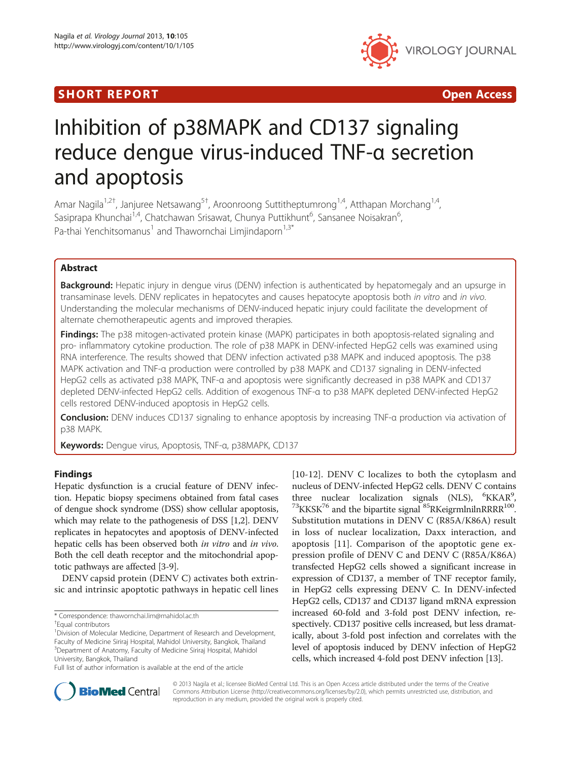## SHORT REPORT AND RESERVE THE SHORT CONTROL CONTROL CONTROL CONTROL CONTROL CONTROL CONTROL CONTROL CONTROL CONTROL CONTROL CONTROL CONTROL CONTROL CONTROL CONTROL CONTROL CONTROL CONTROL CONTROL CONTROL CONTROL CONTROL CON



# Inhibition of p38MAPK and CD137 signaling reduce dengue virus-induced TNF-α secretion and apoptosis

Amar Nagila<sup>1,2†</sup>, Janjuree Netsawang<sup>5†</sup>, Aroonroong Suttitheptumrong<sup>1,4</sup>, Atthapan Morchang<sup>1,4</sup>, Sasiprapa Khunchai<sup>1,4</sup>, Chatchawan Srisawat, Chunya Puttikhunt<sup>6</sup>, Sansanee Noisakran<sup>6</sup> , Pa-thai Yenchitsomanus<sup>1</sup> and Thawornchai Limiindaporn<sup>1,3\*</sup>

## Abstract

Background: Hepatic injury in dengue virus (DENV) infection is authenticated by hepatomegaly and an upsurge in transaminase levels. DENV replicates in hepatocytes and causes hepatocyte apoptosis both in vitro and in vivo. Understanding the molecular mechanisms of DENV-induced hepatic injury could facilitate the development of alternate chemotherapeutic agents and improved therapies.

Findings: The p38 mitogen-activated protein kinase (MAPK) participates in both apoptosis-related signaling and pro- inflammatory cytokine production. The role of p38 MAPK in DENV-infected HepG2 cells was examined using RNA interference. The results showed that DENV infection activated p38 MAPK and induced apoptosis. The p38 MAPK activation and TNF-α production were controlled by p38 MAPK and CD137 signaling in DENV-infected HepG2 cells as activated p38 MAPK, TNF-α and apoptosis were significantly decreased in p38 MAPK and CD137 depleted DENV-infected HepG2 cells. Addition of exogenous TNF-α to p38 MAPK depleted DENV-infected HepG2 cells restored DENV-induced apoptosis in HepG2 cells.

Conclusion: DENV induces CD137 signaling to enhance apoptosis by increasing TNF-α production via activation of p38 MAPK.

Keywords: Dengue virus, Apoptosis, TNF-α, p38MAPK, CD137

## Findings

Hepatic dysfunction is a crucial feature of DENV infection. Hepatic biopsy specimens obtained from fatal cases of dengue shock syndrome (DSS) show cellular apoptosis, which may relate to the pathogenesis of DSS [[1,2\]](#page-6-0). DENV replicates in hepatocytes and apoptosis of DENV-infected hepatic cells has been observed both in vitro and in vivo. Both the cell death receptor and the mitochondrial apoptotic pathways are affected [\[3-9](#page-6-0)].

DENV capsid protein (DENV C) activates both extrinsic and intrinsic apoptotic pathways in hepatic cell lines [[10](#page-6-0)-[12\]](#page-6-0). DENV C localizes to both the cytoplasm and nucleus of DENV-infected HepG2 cells. DENV C contains three nuclear localization signals (NLS), <sup>6</sup>KKAR<sup>9</sup>  $^{73}$ KKSK<sup>76</sup> and the bipartite signal  $^{85}$ RKeigrmlnilnRRRR<sup>100</sup>. Substitution mutations in DENV C (R85A/K86A) result in loss of nuclear localization, Daxx interaction, and apoptosis [[11\]](#page-6-0). Comparison of the apoptotic gene expression profile of DENV C and DENV C (R85A/K86A) transfected HepG2 cells showed a significant increase in expression of CD137, a member of TNF receptor family, in HepG2 cells expressing DENV C. In DENV-infected HepG2 cells, CD137 and CD137 ligand mRNA expression increased 60-fold and 3-fold post DENV infection, respectively. CD137 positive cells increased, but less dramatically, about 3-fold post infection and correlates with the level of apoptosis induced by DENV infection of HepG2 cells, which increased 4-fold post DENV infection [[13\]](#page-6-0).



© 2013 Nagila et al.; licensee BioMed Central Ltd. This is an Open Access article distributed under the terms of the Creative Commons Attribution License [\(http://creativecommons.org/licenses/by/2.0\)](http://creativecommons.org/licenses/by/2.0), which permits unrestricted use, distribution, and reproduction in any medium, provided the original work is properly cited.

<sup>\*</sup> Correspondence: [thawornchai.lim@mahidol.ac.th](mailto:thawornchai.lim@mahidol.ac.th) †

Equal contributors

<sup>&</sup>lt;sup>1</sup> Division of Molecular Medicine, Department of Research and Development, Faculty of Medicine Siriraj Hospital, Mahidol University, Bangkok, Thailand 3 Department of Anatomy, Faculty of Medicine Siriraj Hospital, Mahidol University, Bangkok, Thailand

Full list of author information is available at the end of the article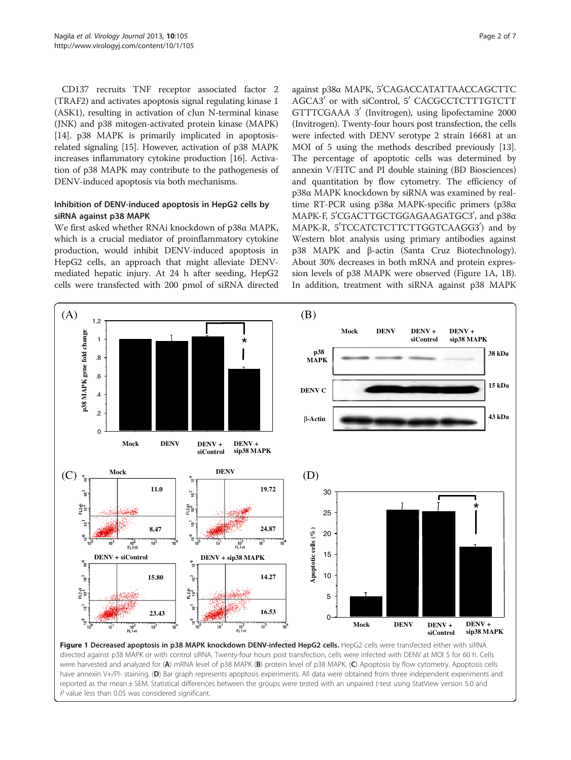<span id="page-1-0"></span>CD137 recruits TNF receptor associated factor 2 (TRAF2) and activates apoptosis signal regulating kinase 1 (ASK1), resulting in activation of cJun N-terminal kinase (JNK) and p38 mitogen-activated protein kinase (MAPK) [[14](#page-6-0)]. p38 MAPK is primarily implicated in apoptosisrelated signaling [[15](#page-6-0)]. However, activation of p38 MAPK increases inflammatory cytokine production [\[16\]](#page-6-0). Activation of p38 MAPK may contribute to the pathogenesis of DENV-induced apoptosis via both mechanisms.

### Inhibition of DENV-induced apoptosis in HepG2 cells by siRNA against p38 MAPK

We first asked whether RNAi knockdown of p38α MAPK, which is a crucial mediator of proinflammatory cytokine production, would inhibit DENV-induced apoptosis in HepG2 cells, an approach that might alleviate DENVmediated hepatic injury. At 24 h after seeding, HepG2 cells were transfected with 200 pmol of siRNA directed

against p38α MAPK, 5'CAGACCATATTAACCAGCTTC AGCA3<sup>'</sup> or with siControl, 5<sup>'</sup> CACGCCTCTTTGTCTT GTTTCGAAA 3' (Invitrogen), using lipofectamine 2000 (Invitrogen). Twenty-four hours post transfection, the cells were infected with DENV serotype 2 strain 16681 at an MOI of 5 using the methods described previously [[13](#page-6-0)]. The percentage of apoptotic cells was determined by annexin V/FITC and PI double staining (BD Biosciences) and quantitation by flow cytometry. The efficiency of p38α MAPK knockdown by siRNA was examined by realtime RT-PCR using p38α MAPK-specific primers (p38α MAPK-F, 5'CGACTTGCTGGAGAAGATGC3', and p38α MAPK-R, 5'TCCATCTCTTCTTGGTCAAGG3') and by Western blot analysis using primary antibodies against p38 MAPK and β-actin (Santa Cruz Biotechnology). About 30% decreases in both mRNA and protein expression levels of p38 MAPK were observed (Figure 1A, 1B). In addition, treatment with siRNA against p38 MAPK

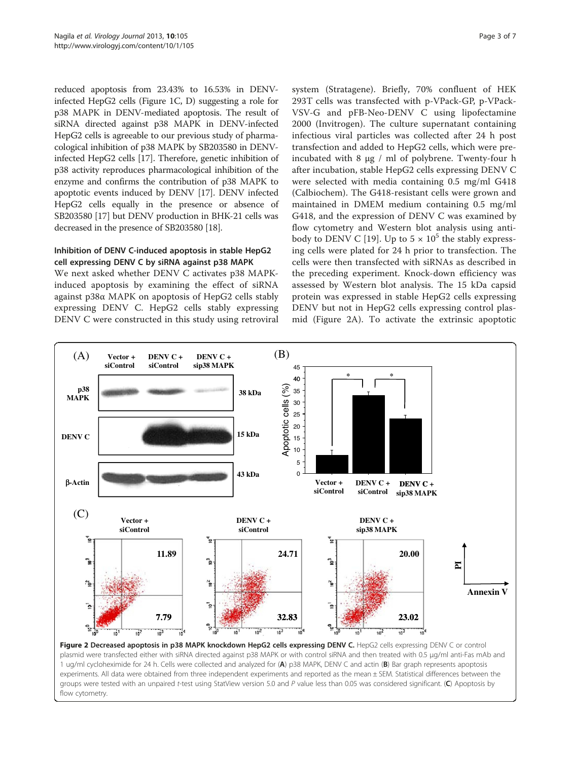<span id="page-2-0"></span>reduced apoptosis from 23.43% to 16.53% in DENVinfected HepG2 cells (Figure [1](#page-1-0)C, D) suggesting a role for p38 MAPK in DENV-mediated apoptosis. The result of siRNA directed against p38 MAPK in DENV-infected HepG2 cells is agreeable to our previous study of pharmacological inhibition of p38 MAPK by SB203580 in DENVinfected HepG2 cells [[17\]](#page-6-0). Therefore, genetic inhibition of p38 activity reproduces pharmacological inhibition of the enzyme and confirms the contribution of p38 MAPK to apoptotic events induced by DENV [[17](#page-6-0)]. DENV infected HepG2 cells equally in the presence or absence of SB203580 [\[17\]](#page-6-0) but DENV production in BHK-21 cells was decreased in the presence of SB203580 [\[18](#page-6-0)].

## Inhibition of DENV C-induced apoptosis in stable HepG2 cell expressing DENV C by siRNA against p38 MAPK

We next asked whether DENV C activates p38 MAPKinduced apoptosis by examining the effect of siRNA against p38α MAPK on apoptosis of HepG2 cells stably expressing DENV C. HepG2 cells stably expressing DENV C were constructed in this study using retroviral

system (Stratagene). Briefly, 70% confluent of HEK 293T cells was transfected with p-VPack-GP, p-VPack-VSV-G and pFB-Neo-DENV C using lipofectamine 2000 (Invitrogen). The culture supernatant containing infectious viral particles was collected after 24 h post transfection and added to HepG2 cells, which were preincubated with 8 μg / ml of polybrene. Twenty-four h after incubation, stable HepG2 cells expressing DENV C were selected with media containing 0.5 mg/ml G418 (Calbiochem). The G418-resistant cells were grown and maintained in DMEM medium containing 0.5 mg/ml G418, and the expression of DENV C was examined by flow cytometry and Western blot analysis using anti-body to DENV C [[19\]](#page-6-0). Up to  $5 \times 10^5$  the stably expressing cells were plated for 24 h prior to transfection. The cells were then transfected with siRNAs as described in the preceding experiment. Knock-down efficiency was assessed by Western blot analysis. The 15 kDa capsid protein was expressed in stable HepG2 cells expressing DENV but not in HepG2 cells expressing control plasmid (Figure 2A). To activate the extrinsic apoptotic



Figure 2 Decreased apoptosis in p38 MAPK knockdown HepG2 cells expressing DENV C. HepG2 cells expressing DENV C or control plasmid were transfected either with siRNA directed against p38 MAPK or with control siRNA and then treated with 0.5 μg/ml anti-Fas mAb and 1 ug/ml cycloheximide for 24 h. Cells were collected and analyzed for (A) p38 MAPK, DENV C and actin (B) Bar graph represents apoptosis experiments. All data were obtained from three independent experiments and reported as the mean ± SEM. Statistical differences between the groups were tested with an unpaired t-test using StatView version 5.0 and P value less than 0.05 was considered significant. (C) Apoptosis by flow cytometry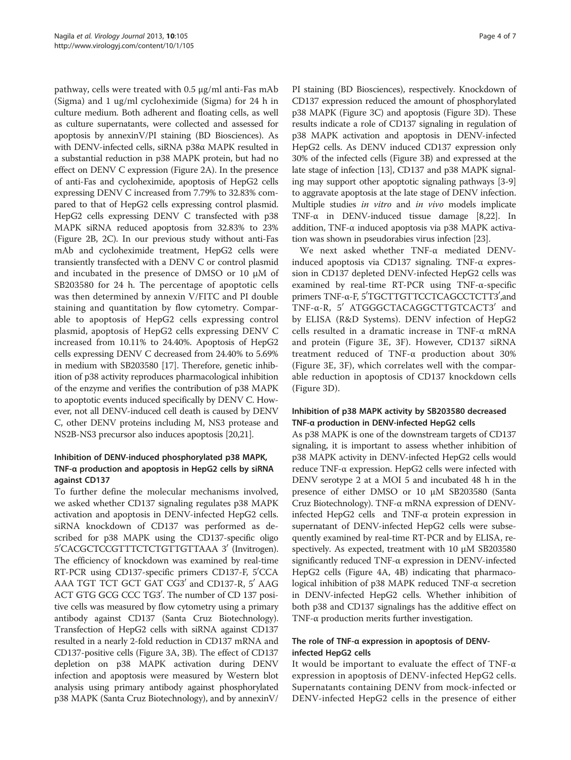pathway, cells were treated with 0.5 μg/ml anti-Fas mAb (Sigma) and 1 ug/ml cycloheximide (Sigma) for 24 h in culture medium. Both adherent and floating cells, as well as culture supernatants, were collected and assessed for apoptosis by annexinV/PI staining (BD Biosciences). As with DENV-infected cells, siRNA p38α MAPK resulted in a substantial reduction in p38 MAPK protein, but had no effect on DENV C expression (Figure [2](#page-2-0)A). In the presence of anti-Fas and cycloheximide, apoptosis of HepG2 cells expressing DENV C increased from 7.79% to 32.83% compared to that of HepG2 cells expressing control plasmid. HepG2 cells expressing DENV C transfected with p38 MAPK siRNA reduced apoptosis from 32.83% to 23% (Figure [2](#page-2-0)B, [2](#page-2-0)C). In our previous study without anti-Fas mAb and cycloheximide treatment, HepG2 cells were transiently transfected with a DENV C or control plasmid and incubated in the presence of DMSO or 10 μM of SB203580 for 24 h. The percentage of apoptotic cells was then determined by annexin V/FITC and PI double staining and quantitation by flow cytometry. Comparable to apoptosis of HepG2 cells expressing control plasmid, apoptosis of HepG2 cells expressing DENV C increased from 10.11% to 24.40%. Apoptosis of HepG2 cells expressing DENV C decreased from 24.40% to 5.69% in medium with SB203580 [[17](#page-6-0)]. Therefore, genetic inhibition of p38 activity reproduces pharmacological inhibition of the enzyme and verifies the contribution of p38 MAPK to apoptotic events induced specifically by DENV C. However, not all DENV-induced cell death is caused by DENV C, other DENV proteins including M, NS3 protease and NS2B-NS3 precursor also induces apoptosis [\[20,21\]](#page-6-0).

## Inhibition of DENV-induced phosphorylated p38 MAPK, TNF-α production and apoptosis in HepG2 cells by siRNA against CD137

To further define the molecular mechanisms involved, we asked whether CD137 signaling regulates p38 MAPK activation and apoptosis in DENV-infected HepG2 cells. siRNA knockdown of CD137 was performed as described for p38 MAPK using the CD137-specific oligo 5'CACGCTCCGTTTCTCTGTTGTTAAA 3' (Invitrogen). The efficiency of knockdown was examined by real-time RT-PCR using CD137-specific primers CD137-F, 5'CCA AAA TGT TCT GCT GAT CG3' and CD137-R, 5' AAG ACT GTG GCG CCC TG3'. The number of CD 137 positive cells was measured by flow cytometry using a primary antibody against CD137 (Santa Cruz Biotechnology). Transfection of HepG2 cells with siRNA against CD137 resulted in a nearly 2-fold reduction in CD137 mRNA and CD137-positive cells (Figure [3A](#page-4-0), [3B](#page-4-0)). The effect of CD137 depletion on p38 MAPK activation during DENV infection and apoptosis were measured by Western blot analysis using primary antibody against phosphorylated p38 MAPK (Santa Cruz Biotechnology), and by annexinV/

PI staining (BD Biosciences), respectively. Knockdown of CD137 expression reduced the amount of phosphorylated p38 MAPK (Figure [3C](#page-4-0)) and apoptosis (Figure [3](#page-4-0)D). These results indicate a role of CD137 signaling in regulation of p38 MAPK activation and apoptosis in DENV-infected HepG2 cells. As DENV induced CD137 expression only 30% of the infected cells (Figure [3](#page-4-0)B) and expressed at the late stage of infection [[13](#page-6-0)], CD137 and p38 MAPK signaling may support other apoptotic signaling pathways [\[3](#page-6-0)-[9](#page-6-0)] to aggravate apoptosis at the late stage of DENV infection. Multiple studies in vitro and in vivo models implicate TNF-α in DENV-induced tissue damage [\[8,22](#page-6-0)]. In addition, TNF-α induced apoptosis via p38 MAPK activation was shown in pseudorabies virus infection [\[23\]](#page-6-0).

We next asked whether TNF-α mediated DENVinduced apoptosis via CD137 signaling. TNF-α expression in CD137 depleted DENV-infected HepG2 cells was examined by real-time RT-PCR using TNF-α-specific primers TNF-α-F, 5'TGCTTGTTCCTCAGCCTCTT3',and TNF-α-R, 5' ATGGGCTACAGGCTTGTCACT3' and by ELISA (R&D Systems). DENV infection of HepG2 cells resulted in a dramatic increase in TNF-α mRNA and protein (Figure [3E](#page-4-0), [3F](#page-4-0)). However, CD137 siRNA treatment reduced of TNF-α production about 30% (Figure [3E](#page-4-0), [3](#page-4-0)F), which correlates well with the comparable reduction in apoptosis of CD137 knockdown cells (Figure [3D](#page-4-0)).

## Inhibition of p38 MAPK activity by SB203580 decreased TNF-α production in DENV-infected HepG2 cells

As p38 MAPK is one of the downstream targets of CD137 signaling, it is important to assess whether inhibition of p38 MAPK activity in DENV-infected HepG2 cells would reduce TNF-α expression. HepG2 cells were infected with DENV serotype 2 at a MOI 5 and incubated 48 h in the presence of either DMSO or 10 μM SB203580 (Santa Cruz Biotechnology). TNF-α mRNA expression of DENVinfected HepG2 cells and TNF-α protein expression in supernatant of DENV-infected HepG2 cells were subsequently examined by real-time RT-PCR and by ELISA, respectively. As expected, treatment with 10 μM SB203580 significantly reduced TNF-α expression in DENV-infected HepG2 cells (Figure [4](#page-5-0)A, [4B](#page-5-0)) indicating that pharmacological inhibition of p38 MAPK reduced TNF-α secretion in DENV-infected HepG2 cells. Whether inhibition of both p38 and CD137 signalings has the additive effect on TNF-α production merits further investigation.

## The role of TNF-α expression in apoptosis of DENVinfected HepG2 cells

It would be important to evaluate the effect of TNF-α expression in apoptosis of DENV-infected HepG2 cells. Supernatants containing DENV from mock-infected or DENV-infected HepG2 cells in the presence of either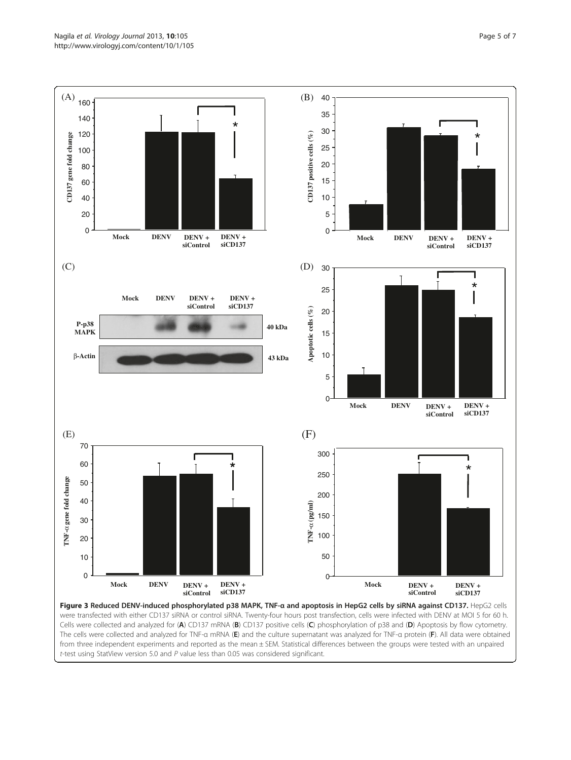<span id="page-4-0"></span>

were transfected with either CD137 siRNA or control siRNA. Twenty-four hours post transfection, cells were infected with DENV at MOI 5 for 60 h. Cells were collected and analyzed for (A) CD137 mRNA (B) CD137 positive cells (C) phosphorylation of p38 and (D) Apoptosis by flow cytometry. The cells were collected and analyzed for TNF-a mRNA (E) and the culture supernatant was analyzed for TNF-a protein (F). All data were obtained from three independent experiments and reported as the mean ± SEM. Statistical differences between the groups were tested with an unpaired  $t$ -test using StatView version 5.0 and  $P$  value less than 0.05 was considered significant.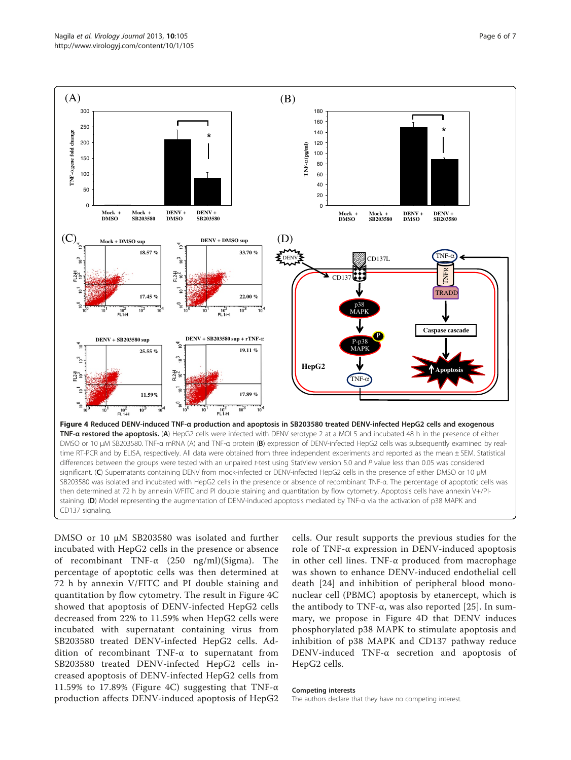<span id="page-5-0"></span>

DMSO or 10 μM SB203580 was isolated and further incubated with HepG2 cells in the presence or absence of recombinant TNF-α (250 ng/ml)(Sigma). The percentage of apoptotic cells was then determined at 72 h by annexin V/FITC and PI double staining and quantitation by flow cytometry. The result in Figure 4C showed that apoptosis of DENV-infected HepG2 cells decreased from 22% to 11.59% when HepG2 cells were incubated with supernatant containing virus from SB203580 treated DENV-infected HepG2 cells. Addition of recombinant TNF-α to supernatant from SB203580 treated DENV-infected HepG2 cells increased apoptosis of DENV-infected HepG2 cells from 11.59% to 17.89% (Figure 4C) suggesting that TNF- $\alpha$ production affects DENV-induced apoptosis of HepG2

cells. Our result supports the previous studies for the role of TNF-α expression in DENV-induced apoptosis in other cell lines. TNF-α produced from macrophage was shown to enhance DENV-induced endothelial cell death [[24](#page-6-0)] and inhibition of peripheral blood mononuclear cell (PBMC) apoptosis by etanercept, which is the antibody to TNF- $\alpha$ , was also reported [[25\]](#page-6-0). In summary, we propose in Figure 4D that DENV induces phosphorylated p38 MAPK to stimulate apoptosis and inhibition of p38 MAPK and CD137 pathway reduce DENV-induced TNF-α secretion and apoptosis of HepG2 cells.

#### Competing interests

The authors declare that they have no competing interest.